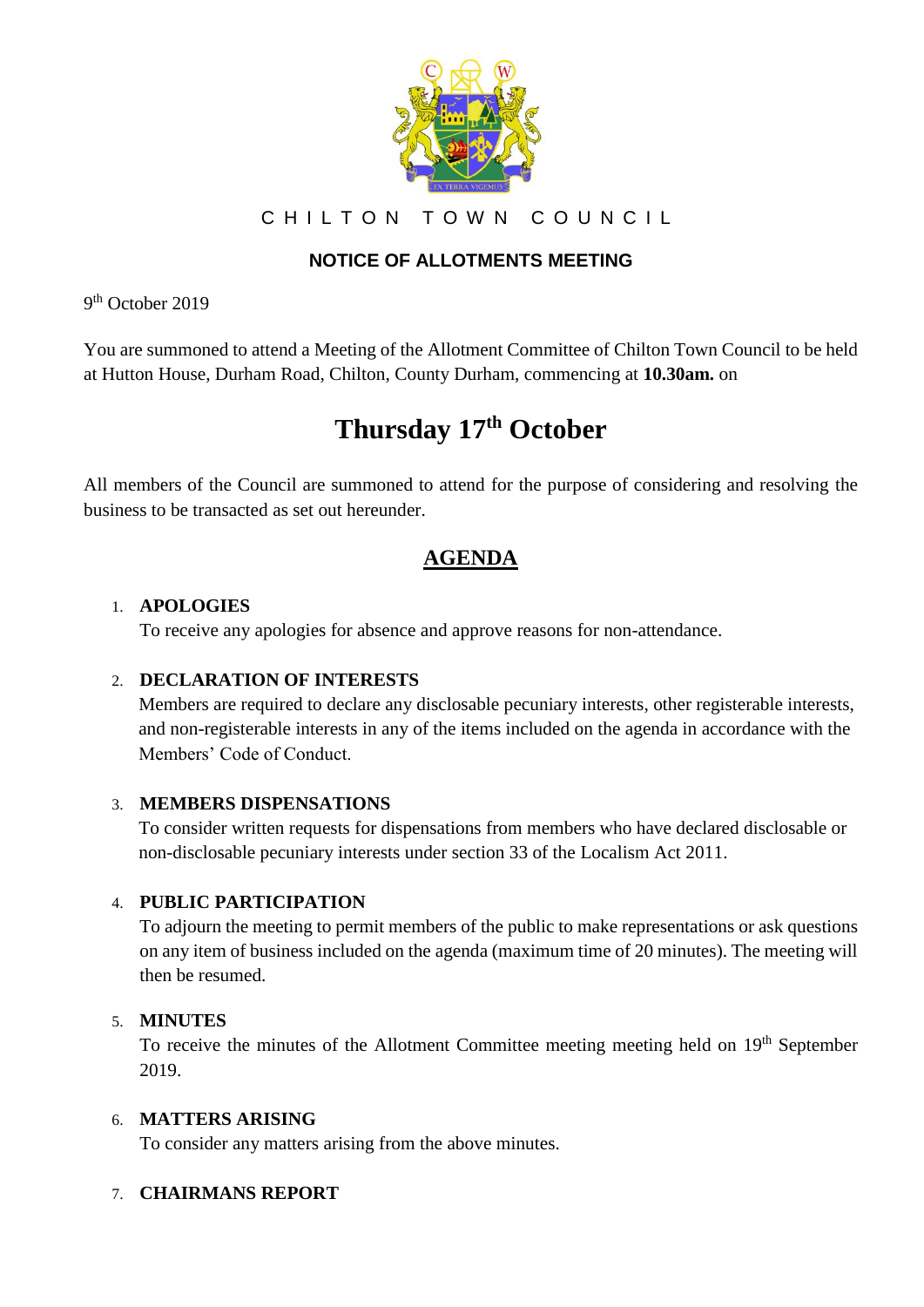

CHILTON TOWN COUNCIL

# **NOTICE OF ALLOTMENTS MEETING**

9<sup>th</sup> October 2019

You are summoned to attend a Meeting of the Allotment Committee of Chilton Town Council to be held at Hutton House, Durham Road, Chilton, County Durham, commencing at **10.30am.** on

# **Thursday 17th October**

All members of the Council are summoned to attend for the purpose of considering and resolving the business to be transacted as set out hereunder.

# **AGENDA**

## 1. **APOLOGIES**

To receive any apologies for absence and approve reasons for non-attendance.

# 2. **DECLARATION OF INTERESTS**

Members are required to declare any disclosable pecuniary interests, other registerable interests, and non-registerable interests in any of the items included on the agenda in accordance with the Members' Code of Conduct.

# 3. **MEMBERS DISPENSATIONS**

To consider written requests for dispensations from members who have declared disclosable or non-disclosable pecuniary interests under section 33 of the Localism Act 2011.

# 4. **PUBLIC PARTICIPATION**

To adjourn the meeting to permit members of the public to make representations or ask questions on any item of business included on the agenda (maximum time of 20 minutes). The meeting will then be resumed.

#### 5. **MINUTES**

To receive the minutes of the Allotment Committee meeting meeting held on 19<sup>th</sup> September 2019.

#### 6. **MATTERS ARISING**

To consider any matters arising from the above minutes.

# 7. **CHAIRMANS REPORT**